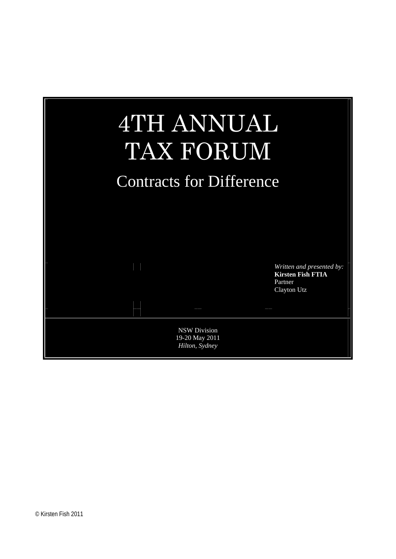| <b>4TH ANNUAL</b><br><b>TAX FORUM</b><br><b>Contracts for Difference</b> |                                                                                 |
|--------------------------------------------------------------------------|---------------------------------------------------------------------------------|
|                                                                          | Written and presented by:<br><b>Kirsten Fish FTIA</b><br>Partner<br>Clayton Utz |
|                                                                          |                                                                                 |
| <b>NSW Division</b><br>19-20 May 2011<br>Hilton, Sydney                  |                                                                                 |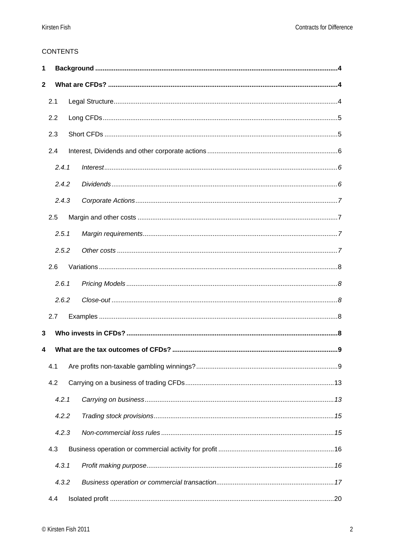#### **CONTENTS**

| 1           |     |       |  |
|-------------|-----|-------|--|
| $\mathbf 2$ |     |       |  |
|             | 2.1 |       |  |
|             | 2.2 |       |  |
|             | 2.3 |       |  |
|             | 2.4 |       |  |
|             |     | 2.4.1 |  |
|             |     | 2.4.2 |  |
|             |     | 2.4.3 |  |
|             | 2.5 |       |  |
|             |     | 2.5.1 |  |
|             |     | 2.5.2 |  |
|             | 2.6 |       |  |
|             |     | 2.6.1 |  |
|             |     | 2.6.2 |  |
|             | 2.7 |       |  |
| 3           |     |       |  |
| 4           |     |       |  |
|             | 4.1 |       |  |
|             | 4.2 |       |  |
|             |     | 4.2.1 |  |
|             |     | 4.2.2 |  |
|             |     | 4.2.3 |  |
|             | 4.3 |       |  |
|             |     | 4.3.1 |  |
|             |     | 4.3.2 |  |
|             | 4.4 |       |  |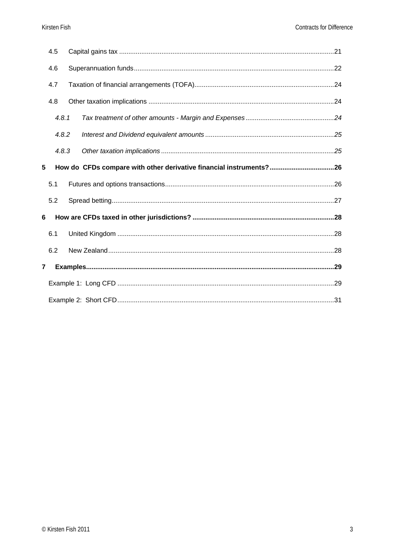|   | 4.5   |                                                                    |  |
|---|-------|--------------------------------------------------------------------|--|
|   | 4.6   |                                                                    |  |
|   | 4.7   |                                                                    |  |
|   | 4.8   |                                                                    |  |
|   | 4.8.1 |                                                                    |  |
|   | 4.8.2 |                                                                    |  |
|   | 4.8.3 |                                                                    |  |
| 5 |       | How do CFDs compare with other derivative financial instruments?26 |  |
|   | 5.1   |                                                                    |  |
|   | 5.2   |                                                                    |  |
| 6 |       |                                                                    |  |
|   | 6.1   |                                                                    |  |
|   | 6.2   |                                                                    |  |
| 7 |       |                                                                    |  |
|   |       |                                                                    |  |
|   |       |                                                                    |  |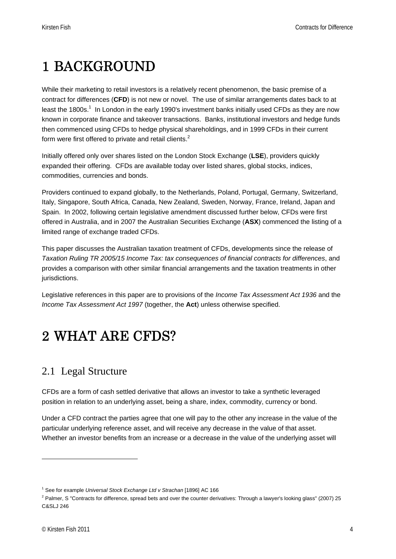# 1 BACKGROUND

While their marketing to retail investors is a relatively recent phenomenon, the basic premise of a contract for differences (**CFD**) is not new or novel. The use of similar arrangements dates back to at least the 1800s.<sup>1</sup> In London in the early 1990's investment banks initially used CFDs as they are now known in corporate finance and takeover transactions. Banks, institutional investors and hedge funds then commenced using CFDs to hedge physical shareholdings, and in 1999 CFDs in their current form were first offered to private and retail clients. $2$ 

Initially offered only over shares listed on the London Stock Exchange (**LSE**), providers quickly expanded their offering. CFDs are available today over listed shares, global stocks, indices, commodities, currencies and bonds.

Providers continued to expand globally, to the Netherlands, Poland, Portugal, Germany, Switzerland, Italy, Singapore, South Africa, Canada, New Zealand, Sweden, Norway, France, Ireland, Japan and Spain. In 2002, following certain legislative amendment discussed further below, CFDs were first offered in Australia, and in 2007 the Australian Securities Exchange (**ASX**) commenced the listing of a limited range of exchange traded CFDs.

This paper discusses the Australian taxation treatment of CFDs, developments since the release of *Taxation Ruling TR 2005/15 Income Tax: tax consequences of financial contracts for differences*, and provides a comparison with other similar financial arrangements and the taxation treatments in other jurisdictions.

Legislative references in this paper are to provisions of the *Income Tax Assessment Act 1936* and the *Income Tax Assessment Act 1997* (together, the **Act**) unless otherwise specified.

## 2 WHAT ARE CFDS?

### 2.1 Legal Structure

CFDs are a form of cash settled derivative that allows an investor to take a synthetic leveraged position in relation to an underlying asset, being a share, index, commodity, currency or bond.

Under a CFD contract the parties agree that one will pay to the other any increase in the value of the particular underlying reference asset, and will receive any decrease in the value of that asset. Whether an investor benefits from an increase or a decrease in the value of the underlying asset will

<sup>&</sup>lt;sup>1</sup> See for example *Universal Stock Exchange Ltd v Strachan* [1896] AC 166<br><sup>2</sup> Pelmer, S "Centrests for difference, entrept hete and over the counter deriv

 $2$  Palmer, S "Contracts for difference, spread bets and over the counter derivatives: Through a lawyer's looking glass" (2007) 25 C&SLJ 246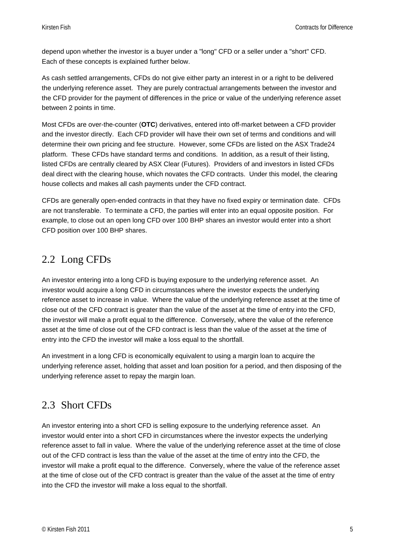depend upon whether the investor is a buyer under a "long" CFD or a seller under a "short" CFD. Each of these concepts is explained further below.

As cash settled arrangements, CFDs do not give either party an interest in or a right to be delivered the underlying reference asset. They are purely contractual arrangements between the investor and the CFD provider for the payment of differences in the price or value of the underlying reference asset between 2 points in time.

Most CFDs are over-the-counter (**OTC**) derivatives, entered into off-market between a CFD provider and the investor directly. Each CFD provider will have their own set of terms and conditions and will determine their own pricing and fee structure. However, some CFDs are listed on the ASX Trade24 platform. These CFDs have standard terms and conditions. In addition, as a result of their listing, listed CFDs are centrally cleared by ASX Clear (Futures). Providers of and investors in listed CFDs deal direct with the clearing house, which novates the CFD contracts. Under this model, the clearing house collects and makes all cash payments under the CFD contract.

CFDs are generally open-ended contracts in that they have no fixed expiry or termination date. CFDs are not transferable. To terminate a CFD, the parties will enter into an equal opposite position. For example, to close out an open long CFD over 100 BHP shares an investor would enter into a short CFD position over 100 BHP shares.

### 2.2 Long CFDs

An investor entering into a long CFD is buying exposure to the underlying reference asset. An investor would acquire a long CFD in circumstances where the investor expects the underlying reference asset to increase in value. Where the value of the underlying reference asset at the time of close out of the CFD contract is greater than the value of the asset at the time of entry into the CFD, the investor will make a profit equal to the difference. Conversely, where the value of the reference asset at the time of close out of the CFD contract is less than the value of the asset at the time of entry into the CFD the investor will make a loss equal to the shortfall.

An investment in a long CFD is economically equivalent to using a margin loan to acquire the underlying reference asset, holding that asset and loan position for a period, and then disposing of the underlying reference asset to repay the margin loan.

### 2.3 Short CFDs

An investor entering into a short CFD is selling exposure to the underlying reference asset. An investor would enter into a short CFD in circumstances where the investor expects the underlying reference asset to fall in value. Where the value of the underlying reference asset at the time of close out of the CFD contract is less than the value of the asset at the time of entry into the CFD, the investor will make a profit equal to the difference. Conversely, where the value of the reference asset at the time of close out of the CFD contract is greater than the value of the asset at the time of entry into the CFD the investor will make a loss equal to the shortfall.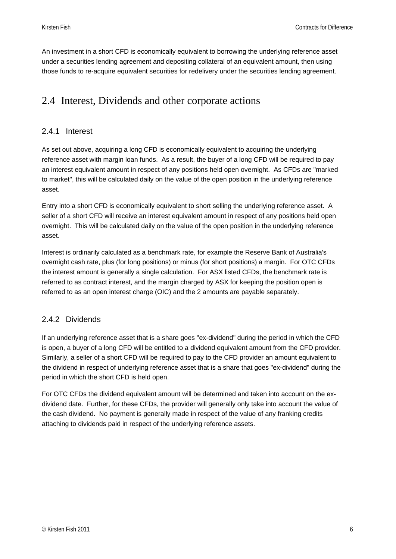An investment in a short CFD is economically equivalent to borrowing the underlying reference asset under a securities lending agreement and depositing collateral of an equivalent amount, then using those funds to re-acquire equivalent securities for redelivery under the securities lending agreement.

### 2.4 Interest, Dividends and other corporate actions

#### 2.4.1 Interest

As set out above, acquiring a long CFD is economically equivalent to acquiring the underlying reference asset with margin loan funds. As a result, the buyer of a long CFD will be required to pay an interest equivalent amount in respect of any positions held open overnight. As CFDs are "marked to market", this will be calculated daily on the value of the open position in the underlying reference asset.

Entry into a short CFD is economically equivalent to short selling the underlying reference asset. A seller of a short CFD will receive an interest equivalent amount in respect of any positions held open overnight. This will be calculated daily on the value of the open position in the underlying reference asset.

Interest is ordinarily calculated as a benchmark rate, for example the Reserve Bank of Australia's overnight cash rate, plus (for long positions) or minus (for short positions) a margin. For OTC CFDs the interest amount is generally a single calculation. For ASX listed CFDs, the benchmark rate is referred to as contract interest, and the margin charged by ASX for keeping the position open is referred to as an open interest charge (OIC) and the 2 amounts are payable separately.

#### 2.4.2 Dividends

If an underlying reference asset that is a share goes "ex-dividend" during the period in which the CFD is open, a buyer of a long CFD will be entitled to a dividend equivalent amount from the CFD provider. Similarly, a seller of a short CFD will be required to pay to the CFD provider an amount equivalent to the dividend in respect of underlying reference asset that is a share that goes "ex-dividend" during the period in which the short CFD is held open.

For OTC CFDs the dividend equivalent amount will be determined and taken into account on the exdividend date. Further, for these CFDs, the provider will generally only take into account the value of the cash dividend. No payment is generally made in respect of the value of any franking credits attaching to dividends paid in respect of the underlying reference assets.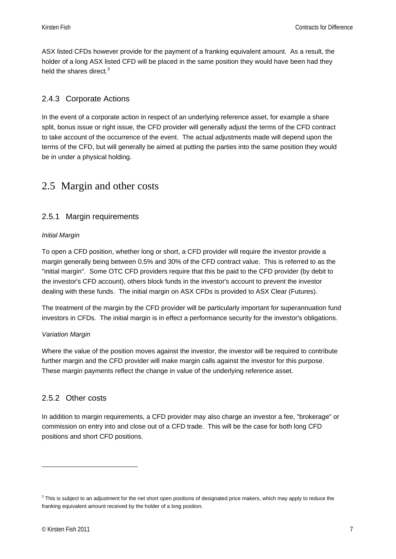ASX listed CFDs however provide for the payment of a franking equivalent amount. As a result, the holder of a long ASX listed CFD will be placed in the same position they would have been had they held the shares direct<sup>3</sup>

#### 2.4.3 Corporate Actions

In the event of a corporate action in respect of an underlying reference asset, for example a share split, bonus issue or right issue, the CFD provider will generally adjust the terms of the CFD contract to take account of the occurrence of the event. The actual adjustments made will depend upon the terms of the CFD, but will generally be aimed at putting the parties into the same position they would be in under a physical holding.

### 2.5 Margin and other costs

#### 2.5.1 Margin requirements

#### *Initial Margin*

To open a CFD position, whether long or short, a CFD provider will require the investor provide a margin generally being between 0.5% and 30% of the CFD contract value. This is referred to as the "initial margin". Some OTC CFD providers require that this be paid to the CFD provider (by debit to the investor's CFD account), others block funds in the investor's account to prevent the investor dealing with these funds. The initial margin on ASX CFDs is provided to ASX Clear (Futures).

The treatment of the margin by the CFD provider will be particularly important for superannuation fund investors in CFDs. The initial margin is in effect a performance security for the investor's obligations.

#### *Variation Margin*

Where the value of the position moves against the investor, the investor will be required to contribute further margin and the CFD provider will make margin calls against the investor for this purpose. These margin payments reflect the change in value of the underlying reference asset.

#### 2.5.2 Other costs

In addition to margin requirements, a CFD provider may also charge an investor a fee, "brokerage" or commission on entry into and close out of a CFD trade. This will be the case for both long CFD positions and short CFD positions.

 $3$  This is subject to an adjustment for the net short open positions of designated price makers, which may apply to reduce the franking equivalent amount received by the holder of a long position.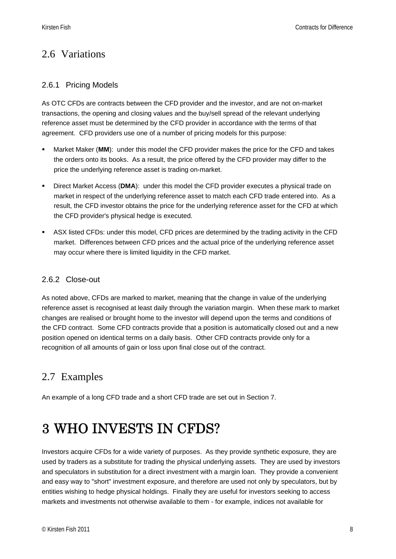### 2.6 Variations

#### 2.6.1 Pricing Models

As OTC CFDs are contracts between the CFD provider and the investor, and are not on-market transactions, the opening and closing values and the buy/sell spread of the relevant underlying reference asset must be determined by the CFD provider in accordance with the terms of that agreement. CFD providers use one of a number of pricing models for this purpose:

- Market Maker (**MM**): under this model the CFD provider makes the price for the CFD and takes the orders onto its books. As a result, the price offered by the CFD provider may differ to the price the underlying reference asset is trading on-market.
- Direct Market Access (**DMA**): under this model the CFD provider executes a physical trade on market in respect of the underlying reference asset to match each CFD trade entered into. As a result, the CFD investor obtains the price for the underlying reference asset for the CFD at which the CFD provider's physical hedge is executed.
- ASX listed CFDs: under this model, CFD prices are determined by the trading activity in the CFD market. Differences between CFD prices and the actual price of the underlying reference asset may occur where there is limited liquidity in the CFD market.

#### 2.6.2 Close-out

As noted above, CFDs are marked to market, meaning that the change in value of the underlying reference asset is recognised at least daily through the variation margin. When these mark to market changes are realised or brought home to the investor will depend upon the terms and conditions of the CFD contract. Some CFD contracts provide that a position is automatically closed out and a new position opened on identical terms on a daily basis. Other CFD contracts provide only for a recognition of all amounts of gain or loss upon final close out of the contract.

## 2.7 Examples

An example of a long CFD trade and a short CFD trade are set out in Section 7.

## 3 WHO INVESTS IN CFDS?

Investors acquire CFDs for a wide variety of purposes. As they provide synthetic exposure, they are used by traders as a substitute for trading the physical underlying assets. They are used by investors and speculators in substitution for a direct investment with a margin loan. They provide a convenient and easy way to "short" investment exposure, and therefore are used not only by speculators, but by entities wishing to hedge physical holdings. Finally they are useful for investors seeking to access markets and investments not otherwise available to them - for example, indices not available for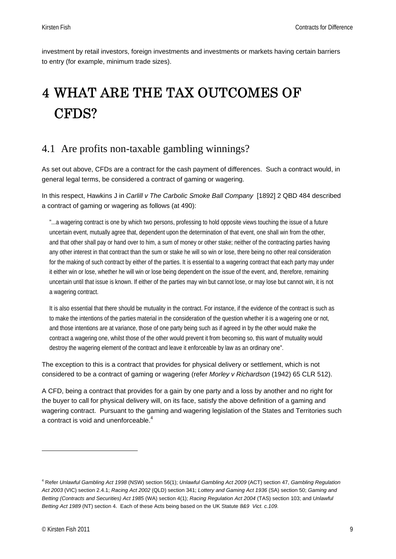investment by retail investors, foreign investments and investments or markets having certain barriers to entry (for example, minimum trade sizes).

# 4 WHAT ARE THE TAX OUTCOMES OF CFDS?

### 4.1 Are profits non-taxable gambling winnings?

As set out above, CFDs are a contract for the cash payment of differences. Such a contract would, in general legal terms, be considered a contract of gaming or wagering.

In this respect, Hawkins J in *Carlill v The Carbolic Smoke Ball Company* [1892] 2 QBD 484 described a contract of gaming or wagering as follows (at 490):

"...a wagering contract is one by which two persons, professing to hold opposite views touching the issue of a future uncertain event, mutually agree that, dependent upon the determination of that event, one shall win from the other, and that other shall pay or hand over to him, a sum of money or other stake; neither of the contracting parties having any other interest in that contract than the sum or stake he will so win or lose, there being no other real consideration for the making of such contract by either of the parties. It is essential to a wagering contract that each party may under it either win or lose, whether he will win or lose being dependent on the issue of the event, and, therefore, remaining uncertain until that issue is known. If either of the parties may win but cannot lose, or may lose but cannot win, it is not a wagering contract.

It is also essential that there should be mutuality in the contract. For instance, if the evidence of the contract is such as to make the intentions of the parties material in the consideration of the question whether it is a wagering one or not, and those intentions are at variance, those of one party being such as if agreed in by the other would make the contract a wagering one, whilst those of the other would prevent it from becoming so, this want of mutuality would destroy the wagering element of the contract and leave it enforceable by law as an ordinary one".

The exception to this is a contract that provides for physical delivery or settlement, which is not considered to be a contract of gaming or wagering (refer *Morley v Richardson* (1942) 65 CLR 512).

A CFD, being a contract that provides for a gain by one party and a loss by another and no right for the buyer to call for physical delivery will, on its face, satisfy the above definition of a gaming and wagering contract. Pursuant to the gaming and wagering legislation of the States and Territories such a contract is void and unenforceable.<sup>4</sup>

-

<sup>4</sup> Refer *Unlawful Gambling Act 1998* (NSW) section 56(1); *Unlawful Gambling Act 2009* (ACT) section 47, *Gambling Regulation Act 2003* (VIC) section 2.4.1; *Racing Act 2002* (QLD) section 341; *Lottery and Gaming Act 1936* (SA) section 50; *Gaming and Betting (Contracts and Securities) Act 1985* (WA) section 4(1); *Racing Regulation Act 2004* (TAS) section 103; and *Unlawful Betting Act 1989* (NT) section 4. Each of these Acts being based on the UK Statute *8&9 Vict. c.109.*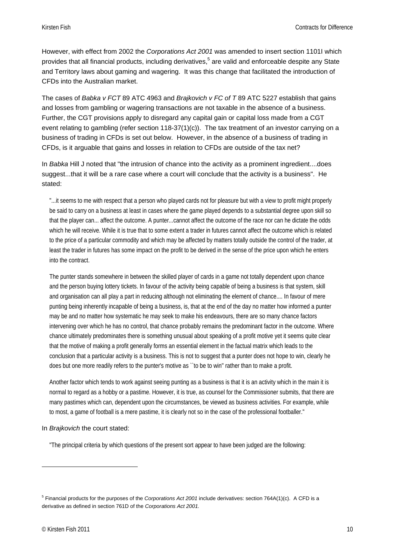However, with effect from 2002 the *Corporations Act 2001* was amended to insert section 1101I which provides that all financial products, including derivatives,<sup>5</sup> are valid and enforceable despite any State and Territory laws about gaming and wagering. It was this change that facilitated the introduction of CFDs into the Australian market.

The cases of *Babka v FCT* 89 ATC 4963 and *Brajkovich v FC of T* 89 ATC 5227 establish that gains and losses from gambling or wagering transactions are not taxable in the absence of a business. Further, the CGT provisions apply to disregard any capital gain or capital loss made from a CGT event relating to gambling (refer section 118-37(1)(c)). The tax treatment of an investor carrying on a business of trading in CFDs is set out below. However, in the absence of a business of trading in CFDs, is it arguable that gains and losses in relation to CFDs are outside of the tax net?

In *Babka* Hill J noted that "the intrusion of chance into the activity as a prominent ingredient....does suggest...that it will be a rare case where a court will conclude that the activity is a business". He stated:

"...it seems to me with respect that a person who played cards not for pleasure but with a view to profit might properly be said to carry on a business at least in cases where the game played depends to a substantial degree upon skill so that the player can... affect the outcome. A punter...cannot affect the outcome of the race nor can he dictate the odds which he will receive. While it is true that to some extent a trader in futures cannot affect the outcome which is related to the price of a particular commodity and which may be affected by matters totally outside the control of the trader, at least the trader in futures has some impact on the profit to be derived in the sense of the price upon which he enters into the contract.

The punter stands somewhere in between the skilled player of cards in a game not totally dependent upon chance and the person buying lottery tickets. In favour of the activity being capable of being a business is that system, skill and organisation can all play a part in reducing although not eliminating the element of chance.... In favour of mere punting being inherently incapable of being a business, is, that at the end of the day no matter how informed a punter may be and no matter how systematic he may seek to make his endeavours, there are so many chance factors intervening over which he has no control, that chance probably remains the predominant factor in the outcome. Where chance ultimately predominates there is something unusual about speaking of a profit motive yet it seems quite clear that the motive of making a profit generally forms an essential element in the factual matrix which leads to the conclusion that a particular activity is a business. This is not to suggest that a punter does not hope to win, clearly he does but one more readily refers to the punter's motive as ``to be to win'' rather than to make a profit.

Another factor which tends to work against seeing punting as a business is that it is an activity which in the main it is normal to regard as a hobby or a pastime. However, it is true, as counsel for the Commissioner submits, that there are many pastimes which can, dependent upon the circumstances, be viewed as business activities. For example, while to most, a game of football is a mere pastime, it is clearly not so in the case of the professional footballer."

#### In *Brajkovich* the court stated:

"The principal criteria by which questions of the present sort appear to have been judged are the following:

<sup>5</sup> Financial products for the purposes of the *Corporations Act 2001* include derivatives: section 764A(1)(c). A CFD is a derivative as defined in section 761D of the *Corporations Act 2001.*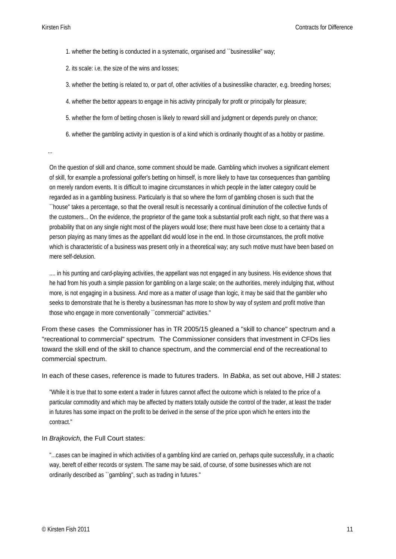Kirsten Fish Contracts for Difference

1. whether the betting is conducted in a systematic, organised and ``businesslike'' way;

2. its scale: i.e. the size of the wins and losses;

- 3. whether the betting is related to, or part of, other activities of a businesslike character, e.g. breeding horses;
- 4. whether the bettor appears to engage in his activity principally for profit or principally for pleasure;
- 5. whether the form of betting chosen is likely to reward skill and judgment or depends purely on chance;
- 6. whether the gambling activity in question is of a kind which is ordinarily thought of as a hobby or pastime.

...

On the question of skill and chance, some comment should be made. Gambling which involves a significant element of skill, for example a professional golfer's betting on himself, is more likely to have tax consequences than gambling on merely random events. It is difficult to imagine circumstances in which people in the latter category could be regarded as in a gambling business. Particularly is that so where the form of gambling chosen is such that the ``house'' takes a percentage, so that the overall result is necessarily a continual diminution of the collective funds of the customers... On the evidence, the proprietor of the game took a substantial profit each night, so that there was a probability that on any single night most of the players would lose; there must have been close to a certainty that a person playing as many times as the appellant did would lose in the end. In those circumstances, the profit motive which is characteristic of a business was present only in a theoretical way; any such motive must have been based on mere self-delusion.

.... in his punting and card-playing activities, the appellant was not engaged in any business. His evidence shows that he had from his youth a simple passion for gambling on a large scale; on the authorities, merely indulging that, without more, is not engaging in a business. And more as a matter of usage than logic, it may be said that the gambler who seeks to demonstrate that he is thereby a businessman has more to show by way of system and profit motive than those who engage in more conventionally ``commercial'' activities."

From these cases the Commissioner has in TR 2005/15 gleaned a "skill to chance" spectrum and a "recreational to commercial" spectrum. The Commissioner considers that investment in CFDs lies toward the skill end of the skill to chance spectrum, and the commercial end of the recreational to commercial spectrum.

#### In each of these cases, reference is made to futures traders. In *Babka*, as set out above, Hill J states:

"While it is true that to some extent a trader in futures cannot affect the outcome which is related to the price of a particular commodity and which may be affected by matters totally outside the control of the trader, at least the trader in futures has some impact on the profit to be derived in the sense of the price upon which he enters into the contract."

#### In *Brajkovich,* the Full Court states:

"...cases can be imagined in which activities of a gambling kind are carried on, perhaps quite successfully, in a chaotic way, bereft of either records or system. The same may be said, of course, of some businesses which are not ordinarily described as "gambling", such as trading in futures."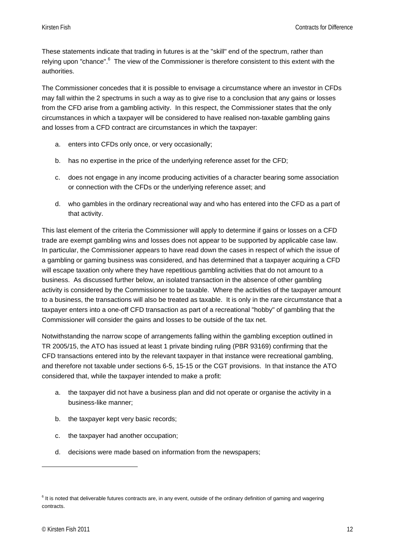Kirsten Fish Contracts for Difference

These statements indicate that trading in futures is at the "skill" end of the spectrum, rather than relying upon "chance".<sup>6</sup> The view of the Commissioner is therefore consistent to this extent with the authorities.

The Commissioner concedes that it is possible to envisage a circumstance where an investor in CFDs may fall within the 2 spectrums in such a way as to give rise to a conclusion that any gains or losses from the CFD arise from a gambling activity. In this respect, the Commissioner states that the only circumstances in which a taxpayer will be considered to have realised non-taxable gambling gains and losses from a CFD contract are circumstances in which the taxpayer:

- a. enters into CFDs only once, or very occasionally;
- b. has no expertise in the price of the underlying reference asset for the CFD;
- c. does not engage in any income producing activities of a character bearing some association or connection with the CFDs or the underlying reference asset; and
- d. who gambles in the ordinary recreational way and who has entered into the CFD as a part of that activity.

This last element of the criteria the Commissioner will apply to determine if gains or losses on a CFD trade are exempt gambling wins and losses does not appear to be supported by applicable case law. In particular, the Commissioner appears to have read down the cases in respect of which the issue of a gambling or gaming business was considered, and has determined that a taxpayer acquiring a CFD will escape taxation only where they have repetitious gambling activities that do not amount to a business. As discussed further below, an isolated transaction in the absence of other gambling activity is considered by the Commissioner to be taxable. Where the activities of the taxpayer amount to a business, the transactions will also be treated as taxable. It is only in the rare circumstance that a taxpayer enters into a one-off CFD transaction as part of a recreational "hobby" of gambling that the Commissioner will consider the gains and losses to be outside of the tax net.

Notwithstanding the narrow scope of arrangements falling within the gambling exception outlined in TR 2005/15, the ATO has issued at least 1 private binding ruling (PBR 93169) confirming that the CFD transactions entered into by the relevant taxpayer in that instance were recreational gambling, and therefore not taxable under sections 6-5, 15-15 or the CGT provisions. In that instance the ATO considered that, while the taxpayer intended to make a profit:

- a. the taxpayer did not have a business plan and did not operate or organise the activity in a business-like manner;
- b. the taxpayer kept very basic records;
- c. the taxpayer had another occupation;
- d. decisions were made based on information from the newspapers;

<sup>&</sup>lt;sup>6</sup> It is noted that deliverable futures contracts are, in any event, outside of the ordinary definition of gaming and wagering contracts.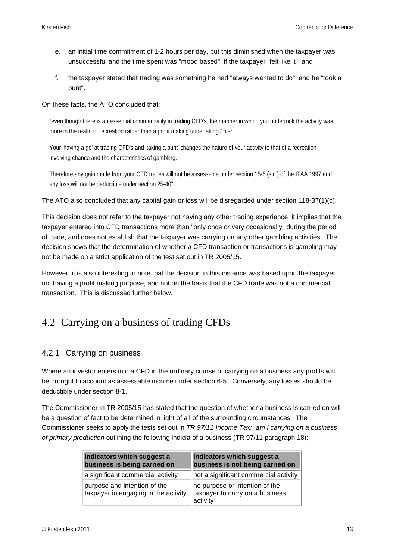- e. an initial time commitment of 1-2 hours per day, but this diminished when the taxpayer was unsuccessful and the time spent was "mood based", if the taxpayer "felt like it"; and
- f. the taxpayer stated that trading was something he had "always wanted to do", and he "took a punt".

#### On these facts, the ATO concluded that:

"even though there is an essential commerciality in trading CFD's, the manner in which you undertook the activity was more in the realm of recreation rather than a profit making undertaking / plan.

Your 'having a go' at trading CFD's and 'taking a punt' changes the nature of your activity to that of a recreation involving chance and the characteristics of gambling.

Therefore any gain made from your CFD trades will not be assessable under section 15-5 (sic.) of the ITAA 1997 and any loss will not be deductible under section 25-40".

The ATO also concluded that any capital gain or loss will be disregarded under section 118-37(1)(c).

This decision does not refer to the taxpayer not having any other trading experience, it implies that the taxpayer entered into CFD transactions more than "only once or very occasionally" during the period of trade, and does not establish that the taxpayer was carrying on any other gambling activities. The decision shows that the determination of whether a CFD transaction or transactions is gambling may not be made on a strict application of the test set out in TR 2005/15.

However, it is also interesting to note that the decision in this instance was based upon the taxpayer not having a profit making purpose, and not on the basis that the CFD trade was not a commercial transaction. This is discussed further below.

### 4.2 Carrying on a business of trading CFDs

#### 4.2.1 Carrying on business

Where an investor enters into a CFD in the ordinary course of carrying on a business any profits will be brought to account as assessable income under section 6-5. Conversely, any losses should be deductible under section 8-1.

The Commissioner in TR 2005/15 has stated that the question of whether a business is carried on will be a question of fact to be determined in light of all of the surrounding circumstances. The Commissioner seeks to apply the tests set out in *TR 97/11 Income Tax: am I carrying on a business of primary production* outlining the following indicia of a business (TR 97/11 paragraph 18):

| Indicators which suggest a<br>business is being carried on           | Indicators which suggest a<br>business is not being carried on                |
|----------------------------------------------------------------------|-------------------------------------------------------------------------------|
| a significant commercial activity                                    | not a significant commercial activity                                         |
| purpose and intention of the<br>taxpayer in engaging in the activity | no purpose or intention of the<br>taxpayer to carry on a business<br>activity |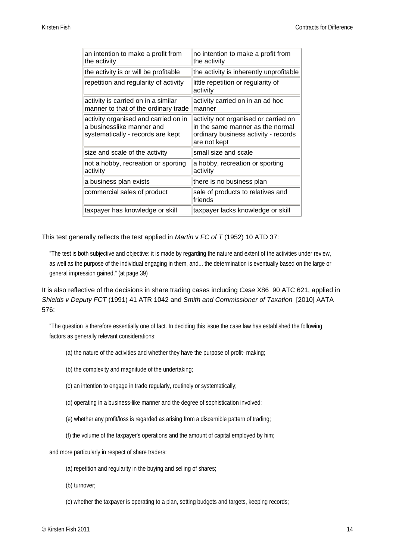| an intention to make a profit from<br>the activity                                                     | no intention to make a profit from<br>the activity                                                                               |
|--------------------------------------------------------------------------------------------------------|----------------------------------------------------------------------------------------------------------------------------------|
| the activity is or will be profitable                                                                  | the activity is inherently unprofitable                                                                                          |
| repetition and regularity of activity                                                                  | little repetition or regularity of<br>activity                                                                                   |
| activity is carried on in a similar<br>manner to that of the ordinary trade                            | activity carried on in an ad hoc<br>manner                                                                                       |
| activity organised and carried on in<br>a businesslike manner and<br>systematically - records are kept | activity not organised or carried on<br>in the same manner as the normal<br>ordinary business activity - records<br>are not kept |
| size and scale of the activity                                                                         | small size and scale                                                                                                             |
| not a hobby, recreation or sporting<br>activity                                                        | a hobby, recreation or sporting<br>activity                                                                                      |
| a business plan exists                                                                                 | there is no business plan                                                                                                        |
| commercial sales of product                                                                            | sale of products to relatives and<br>friends                                                                                     |
| taxpayer has knowledge or skill                                                                        | taxpayer lacks knowledge or skill                                                                                                |

#### This test generally reflects the test applied in *Martin* v *FC of T* (1952) 10 ATD 37:

"The test is both subjective and objective: it is made by regarding the nature and extent of the activities under review, as well as the purpose of the individual engaging in them, and... the determination is eventually based on the large or general impression gained." (at page 39)

It is also reflective of the decisions in share trading cases including *Case* X86 90 ATC 621, applied in *Shields v Deputy FCT* (1991) 41 ATR 1042 and *Smith and Commissioner of Taxation* [2010] AATA 576:

"The question is therefore essentially one of fact. In deciding this issue the case law has established the following factors as generally relevant considerations:

- (a) the nature of the activities and whether they have the purpose of profit- making;
- (b) the complexity and magnitude of the undertaking;
- (c) an intention to engage in trade regularly, routinely or systematically;
- (d) operating in a business-like manner and the degree of sophistication involved;
- (e) whether any profit/loss is regarded as arising from a discernible pattern of trading;
- (f) the volume of the taxpayer's operations and the amount of capital employed by him;

and more particularly in respect of share traders:

- (a) repetition and regularity in the buying and selling of shares;
- (b) turnover;
- (c) whether the taxpayer is operating to a plan, setting budgets and targets, keeping records;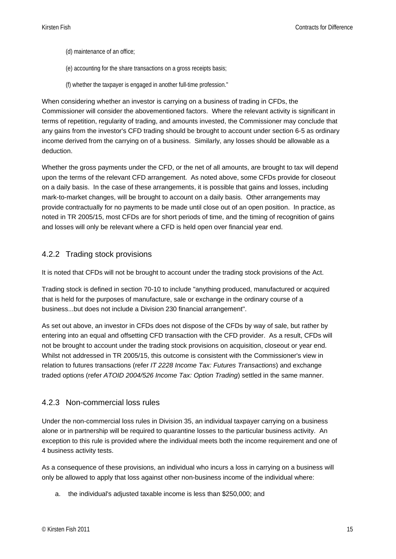(d) maintenance of an office;

- (e) accounting for the share transactions on a gross receipts basis;
- (f) whether the taxpayer is engaged in another full-time profession."

When considering whether an investor is carrying on a business of trading in CFDs, the Commissioner will consider the abovementioned factors. Where the relevant activity is significant in terms of repetition, regularity of trading, and amounts invested, the Commissioner may conclude that any gains from the investor's CFD trading should be brought to account under section 6-5 as ordinary income derived from the carrying on of a business. Similarly, any losses should be allowable as a deduction.

Whether the gross payments under the CFD, or the net of all amounts, are brought to tax will depend upon the terms of the relevant CFD arrangement. As noted above, some CFDs provide for closeout on a daily basis. In the case of these arrangements, it is possible that gains and losses, including mark-to-market changes, will be brought to account on a daily basis. Other arrangements may provide contractually for no payments to be made until close out of an open position. In practice, as noted in TR 2005/15, most CFDs are for short periods of time, and the timing of recognition of gains and losses will only be relevant where a CFD is held open over financial year end.

#### 4.2.2 Trading stock provisions

It is noted that CFDs will not be brought to account under the trading stock provisions of the Act.

Trading stock is defined in section 70-10 to include "anything produced, manufactured or acquired that is held for the purposes of manufacture, sale or exchange in the ordinary course of a business...but does not include a Division 230 financial arrangement".

As set out above, an investor in CFDs does not dispose of the CFDs by way of sale, but rather by entering into an equal and offsetting CFD transaction with the CFD provider. As a result, CFDs will not be brought to account under the trading stock provisions on acquisition, closeout or year end. Whilst not addressed in TR 2005/15, this outcome is consistent with the Commissioner's view in relation to futures transactions (refer *IT 2228 Income Tax: Futures Transactions*) and exchange traded options (refer *ATOID 2004/526 Income Tax: Option Trading*) settled in the same manner.

#### 4.2.3 Non-commercial loss rules

Under the non-commercial loss rules in Division 35, an individual taxpayer carrying on a business alone or in partnership will be required to quarantine losses to the particular business activity. An exception to this rule is provided where the individual meets both the income requirement and one of 4 business activity tests.

As a consequence of these provisions, an individual who incurs a loss in carrying on a business will only be allowed to apply that loss against other non-business income of the individual where:

a. the individual's adjusted taxable income is less than \$250,000; and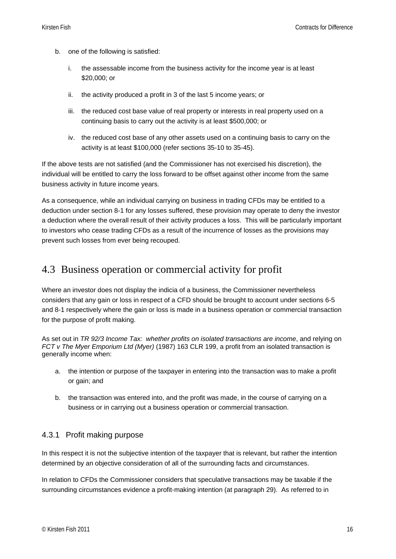- b. one of the following is satisfied:
	- i. the assessable income from the business activity for the income year is at least \$20,000; or
	- ii. the activity produced a profit in 3 of the last 5 income years; or
	- iii. the reduced cost base value of real property or interests in real property used on a continuing basis to carry out the activity is at least \$500,000; or
	- iv. the reduced cost base of any other assets used on a continuing basis to carry on the activity is at least \$100,000 (refer sections 35-10 to 35-45).

If the above tests are not satisfied (and the Commissioner has not exercised his discretion), the individual will be entitled to carry the loss forward to be offset against other income from the same business activity in future income years.

As a consequence, while an individual carrying on business in trading CFDs may be entitled to a deduction under section 8-1 for any losses suffered, these provision may operate to deny the investor a deduction where the overall result of their activity produces a loss. This will be particularly important to investors who cease trading CFDs as a result of the incurrence of losses as the provisions may prevent such losses from ever being recouped.

### 4.3 Business operation or commercial activity for profit

Where an investor does not display the indicia of a business, the Commissioner nevertheless considers that any gain or loss in respect of a CFD should be brought to account under sections 6-5 and 8-1 respectively where the gain or loss is made in a business operation or commercial transaction for the purpose of profit making.

As set out in *TR 92/3 Income Tax: whether profits on isolated transactions are income*, and relying on *FCT v The Myer Emporium Ltd (Myer)* (1987) 163 CLR 199, a profit from an isolated transaction is generally income when:

- a. the intention or purpose of the taxpayer in entering into the transaction was to make a profit or gain; and
- b. the transaction was entered into, and the profit was made, in the course of carrying on a business or in carrying out a business operation or commercial transaction.

#### 4.3.1 Profit making purpose

In this respect it is not the subjective intention of the taxpayer that is relevant, but rather the intention determined by an objective consideration of all of the surrounding facts and circumstances.

In relation to CFDs the Commissioner considers that speculative transactions may be taxable if the surrounding circumstances evidence a profit-making intention (at paragraph 29). As referred to in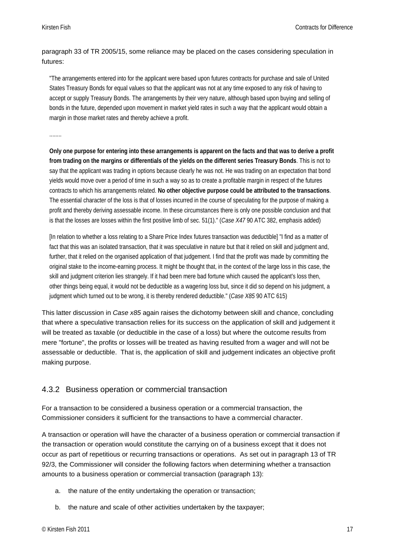#### paragraph 33 of TR 2005/15, some reliance may be placed on the cases considering speculation in futures:

"The arrangements entered into for the applicant were based upon futures contracts for purchase and sale of United States Treasury Bonds for equal values so that the applicant was not at any time exposed to any risk of having to accept or supply Treasury Bonds. The arrangements by their very nature, although based upon buying and selling of bonds in the future, depended upon movement in market yield rates in such a way that the applicant would obtain a margin in those market rates and thereby achieve a profit.

........

**Only one purpose for entering into these arrangements is apparent on the facts and that was to derive a profit from trading on the margins or differentials of the yields on the different series Treasury Bonds**. This is not to say that the applicant was trading in options because clearly he was not. He was trading on an expectation that bond yields would move over a period of time in such a way so as to create a profitable margin in respect of the futures contracts to which his arrangements related. **No other objective purpose could be attributed to the transactions**. The essential character of the loss is that of losses incurred in the course of speculating for the purpose of making a profit and thereby deriving assessable income. In these circumstances there is only one possible conclusion and that is that the losses are losses within the first positive limb of sec. 51(1)." (*Case X47* 90 ATC 382, emphasis added)

[In relation to whether a loss relating to a Share Price Index futures transaction was deductible] "I find as a matter of fact that this was an isolated transaction, that it was speculative in nature but that it relied on skill and judgment and, further, that it relied on the organised application of that judgement. I find that the profit was made by committing the original stake to the income-earning process. It might be thought that, in the context of the large loss in this case, the skill and judgment criterion lies strangely. If it had been mere bad fortune which caused the applicant's loss then, other things being equal, it would not be deductible as a wagering loss but, since it did so depend on his judgment, a judgment which turned out to be wrong, it is thereby rendered deductible." (*Case X85* 90 ATC 615)

This latter discussion in *Case x85* again raises the dichotomy between skill and chance, concluding that where a speculative transaction relies for its success on the application of skill and judgement it will be treated as taxable (or deductible in the case of a loss) but where the outcome results from mere "fortune", the profits or losses will be treated as having resulted from a wager and will not be assessable or deductible. That is, the application of skill and judgement indicates an objective profit making purpose.

#### 4.3.2 Business operation or commercial transaction

For a transaction to be considered a business operation or a commercial transaction, the Commissioner considers it sufficient for the transactions to have a commercial character.

A transaction or operation will have the character of a business operation or commercial transaction if the transaction or operation would constitute the carrying on of a business except that it does not occur as part of repetitious or recurring transactions or operations. As set out in paragraph 13 of TR 92/3, the Commissioner will consider the following factors when determining whether a transaction amounts to a business operation or commercial transaction (paragraph 13):

- a. the nature of the entity undertaking the operation or transaction;
- b. the nature and scale of other activities undertaken by the taxpayer;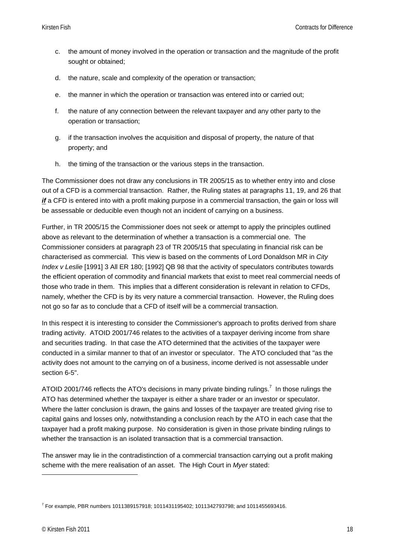- c. the amount of money involved in the operation or transaction and the magnitude of the profit sought or obtained;
- d. the nature, scale and complexity of the operation or transaction;
- e. the manner in which the operation or transaction was entered into or carried out;
- f. the nature of any connection between the relevant taxpayer and any other party to the operation or transaction;
- g. if the transaction involves the acquisition and disposal of property, the nature of that property; and
- h. the timing of the transaction or the various steps in the transaction.

The Commissioner does not draw any conclusions in TR 2005/15 as to whether entry into and close out of a CFD is a commercial transaction. Rather, the Ruling states at paragraphs 11, 19, and 26 that *if* a CFD is entered into with a profit making purpose in a commercial transaction, the gain or loss will be assessable or deducible even though not an incident of carrying on a business.

Further, in TR 2005/15 the Commissioner does not seek or attempt to apply the principles outlined above as relevant to the determination of whether a transaction is a commercial one. The Commissioner considers at paragraph 23 of TR 2005/15 that speculating in financial risk can be characterised as commercial. This view is based on the comments of Lord Donaldson MR in *City Index v Leslie* [1991] 3 All ER 180; [1992] QB 98 that the activity of speculators contributes towards the efficient operation of commodity and financial markets that exist to meet real commercial needs of those who trade in them. This implies that a different consideration is relevant in relation to CFDs, namely, whether the CFD is by its very nature a commercial transaction. However, the Ruling does not go so far as to conclude that a CFD of itself will be a commercial transaction.

In this respect it is interesting to consider the Commissioner's approach to profits derived from share trading activity. ATOID 2001/746 relates to the activities of a taxpayer deriving income from share and securities trading. In that case the ATO determined that the activities of the taxpayer were conducted in a similar manner to that of an investor or speculator. The ATO concluded that "as the activity does not amount to the carrying on of a business, income derived is not assessable under section 6-5".

ATOID 2001/746 reflects the ATO's decisions in many private binding rulings.<sup>7</sup> In those rulings the ATO has determined whether the taxpayer is either a share trader or an investor or speculator. Where the latter conclusion is drawn, the gains and losses of the taxpayer are treated giving rise to capital gains and losses only, notwithstanding a conclusion reach by the ATO in each case that the taxpayer had a profit making purpose. No consideration is given in those private binding rulings to whether the transaction is an isolated transaction that is a commercial transaction.

The answer may lie in the contradistinction of a commercial transaction carrying out a profit making scheme with the mere realisation of an asset. The High Court in *Myer* stated:

<sup>7</sup> For example, PBR numbers 1011389157918; 1011431195402; 1011342793798; and 1011455693416.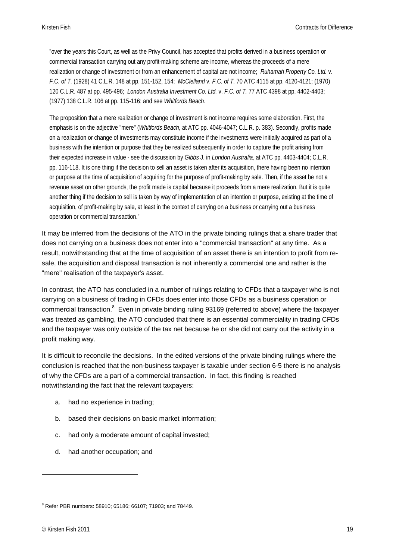Kirsten Fish Contracts for Difference

"over the years this Court, as well as the Privy Council, has accepted that profits derived in a business operation or commercial transaction carrying out any profit-making scheme are income, whereas the proceeds of a mere realization or change of investment or from an enhancement of capital are not income; *Ruhamah Property Co. Ltd.* v. *F.C. of T.* (1928) 41 C.L.R. 148 at pp. 151-152, 154; *McClelland* v. *F.C. of T.* 70 ATC 4115 at pp. 4120-4121; (1970) 120 C.L.R. 487 at pp. 495-496; *London Australia Investment Co. Ltd.* v. *F.C. of T.* 77 ATC 4398 at pp. 4402-4403; (1977) 138 C.L.R. 106 at pp. 115-116; and see *Whitfords Beach*.

The proposition that a mere realization or change of investment is not income requires some elaboration. First, the emphasis is on the adjective "mere" (*Whitfords Beach,* at ATC pp. 4046-4047; C.L.R. p. 383). Secondly, profits made on a realization or change of investments may constitute income if the investments were initially acquired as part of a business with the intention or purpose that they be realized subsequently in order to capture the profit arising from their expected increase in value - see the discussion by *Gibbs* J. in *London Australia,* at ATC pp. 4403-4404; C.L.R. pp. 116-118. It is one thing if the decision to sell an asset is taken after its acquisition, there having been no intention or purpose at the time of acquisition of acquiring for the purpose of profit-making by sale. Then, if the asset be not a revenue asset on other grounds, the profit made is capital because it proceeds from a mere realization. But it is quite another thing if the decision to sell is taken by way of implementation of an intention or purpose, existing at the time of acquisition, of profit-making by sale, at least in the context of carrying on a business or carrying out a business operation or commercial transaction."

It may be inferred from the decisions of the ATO in the private binding rulings that a share trader that does not carrying on a business does not enter into a "commercial transaction" at any time. As a result, notwithstanding that at the time of acquisition of an asset there is an intention to profit from resale, the acquisition and disposal transaction is not inherently a commercial one and rather is the "mere" realisation of the taxpayer's asset.

In contrast, the ATO has concluded in a number of rulings relating to CFDs that a taxpayer who is not carrying on a business of trading in CFDs does enter into those CFDs as a business operation or commercial transaction.<sup>8</sup> Even in private binding ruling 93169 (referred to above) where the taxpayer was treated as gambling, the ATO concluded that there is an essential commerciality in trading CFDs and the taxpayer was only outside of the tax net because he or she did not carry out the activity in a profit making way.

It is difficult to reconcile the decisions. In the edited versions of the private binding rulings where the conclusion is reached that the non-business taxpayer is taxable under section 6-5 there is no analysis of why the CFDs are a part of a commercial transaction. In fact, this finding is reached notwithstanding the fact that the relevant taxpayers:

- a. had no experience in trading;
- b. based their decisions on basic market information;
- c. had only a moderate amount of capital invested;
- d. had another occupation; and

<sup>&</sup>lt;sup>8</sup> Refer PBR numbers: 58910; 65186; 66107; 71903; and 78449.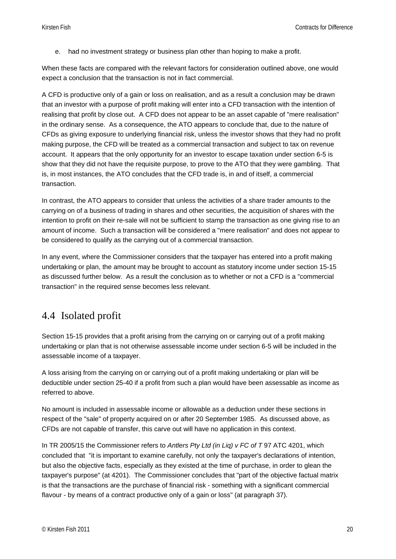e. had no investment strategy or business plan other than hoping to make a profit.

When these facts are compared with the relevant factors for consideration outlined above, one would expect a conclusion that the transaction is not in fact commercial.

A CFD is productive only of a gain or loss on realisation, and as a result a conclusion may be drawn that an investor with a purpose of profit making will enter into a CFD transaction with the intention of realising that profit by close out. A CFD does not appear to be an asset capable of "mere realisation" in the ordinary sense. As a consequence, the ATO appears to conclude that, due to the nature of CFDs as giving exposure to underlying financial risk, unless the investor shows that they had no profit making purpose, the CFD will be treated as a commercial transaction and subject to tax on revenue account. It appears that the only opportunity for an investor to escape taxation under section 6-5 is show that they did not have the requisite purpose, to prove to the ATO that they were gambling. That is, in most instances, the ATO concludes that the CFD trade is, in and of itself, a commercial transaction.

In contrast, the ATO appears to consider that unless the activities of a share trader amounts to the carrying on of a business of trading in shares and other securities, the acquisition of shares with the intention to profit on their re-sale will not be sufficient to stamp the transaction as one giving rise to an amount of income. Such a transaction will be considered a "mere realisation" and does not appear to be considered to qualify as the carrying out of a commercial transaction.

In any event, where the Commissioner considers that the taxpayer has entered into a profit making undertaking or plan, the amount may be brought to account as statutory income under section 15-15 as discussed further below. As a result the conclusion as to whether or not a CFD is a "commercial transaction" in the required sense becomes less relevant.

### 4.4 Isolated profit

Section 15-15 provides that a profit arising from the carrying on or carrying out of a profit making undertaking or plan that is not otherwise assessable income under section 6-5 will be included in the assessable income of a taxpayer.

A loss arising from the carrying on or carrying out of a profit making undertaking or plan will be deductible under section 25-40 if a profit from such a plan would have been assessable as income as referred to above.

No amount is included in assessable income or allowable as a deduction under these sections in respect of the "sale" of property acquired on or after 20 September 1985. As discussed above, as CFDs are not capable of transfer, this carve out will have no application in this context.

In TR 2005/15 the Commissioner refers to *Antlers Pty Ltd (in Liq) v FC of T* 97 ATC 4201, which concluded that "it is important to examine carefully, not only the taxpayer's declarations of intention, but also the objective facts, especially as they existed at the time of purchase, in order to glean the taxpayer's purpose" (at 4201). The Commissioner concludes that "part of the objective factual matrix is that the transactions are the purchase of financial risk - something with a significant commercial flavour - by means of a contract productive only of a gain or loss" (at paragraph 37).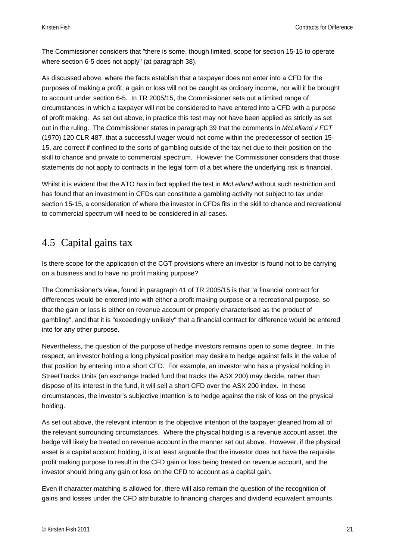The Commissioner considers that "there is some, though limited, scope for section 15-15 to operate where section 6-5 does not apply" (at paragraph 38).

As discussed above, where the facts establish that a taxpayer does not enter into a CFD for the purposes of making a profit, a gain or loss will not be caught as ordinary income, nor will it be brought to account under section 6-5. In TR 2005/15, the Commissioner sets out a limited range of circumstances in which a taxpayer will not be considered to have entered into a CFD with a purpose of profit making. As set out above, in practice this test may not have been applied as strictly as set out in the ruling. The Commissioner states in paragraph 39 that the comments in *McLelland v FCT* (1970) 120 CLR 487, that a successful wager would not come within the predecessor of section 15- 15, are correct if confined to the sorts of gambling outside of the tax net due to their position on the skill to chance and private to commercial spectrum. However the Commissioner considers that those statements do not apply to contracts in the legal form of a bet where the underlying risk is financial.

Whilst it is evident that the ATO has in fact applied the test in *McLelland* without such restriction and has found that an investment in CFDs can constitute a gambling activity not subject to tax under section 15-15, a consideration of where the investor in CFDs fits in the skill to chance and recreational to commercial spectrum will need to be considered in all cases.

### 4.5 Capital gains tax

Is there scope for the application of the CGT provisions where an investor is found not to be carrying on a business and to have no profit making purpose?

The Commissioner's view, found in paragraph 41 of TR 2005/15 is that "a financial contract for differences would be entered into with either a profit making purpose or a recreational purpose, so that the gain or loss is either on revenue account or properly characterised as the product of gambling", and that it is "exceedingly unlikely" that a financial contract for difference would be entered into for any other purpose.

Nevertheless, the question of the purpose of hedge investors remains open to some degree. In this respect, an investor holding a long physical position may desire to hedge against falls in the value of that position by entering into a short CFD. For example, an investor who has a physical holding in StreetTracks Units (an exchange traded fund that tracks the ASX 200) may decide, rather than dispose of its interest in the fund, it will sell a short CFD over the ASX 200 index. In these circumstances, the investor's subjective intention is to hedge against the risk of loss on the physical holding.

As set out above, the relevant intention is the objective intention of the taxpayer gleaned from all of the relevant surrounding circumstances. Where the physical holding is a revenue account asset, the hedge will likely be treated on revenue account in the manner set out above. However, if the physical asset is a capital account holding, it is at least arguable that the investor does not have the requisite profit making purpose to result in the CFD gain or loss being treated on revenue account, and the investor should bring any gain or loss on the CFD to account as a capital gain.

Even if character matching is allowed for, there will also remain the question of the recognition of gains and losses under the CFD attributable to financing charges and dividend equivalent amounts.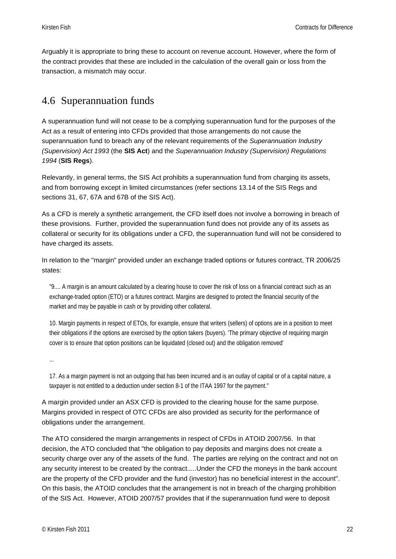Arguably it is appropriate to bring these to account on revenue account. However, where the form of the contract provides that these are included in the calculation of the overall gain or loss from the transaction, a mismatch may occur.

### 4.6 Superannuation funds

A superannuation fund will not cease to be a complying superannuation fund for the purposes of the Act as a result of entering into CFDs provided that those arrangements do not cause the superannuation fund to breach any of the relevant requirements of the *Superannuation Industry (Supervision) Act 1993* (the **SIS Act**) and the *Superannuation Industry (Supervision) Regulations 1994* (**SIS Regs**).

Relevantly, in general terms, the SIS Act prohibits a superannuation fund from charging its assets, and from borrowing except in limited circumstances (refer sections 13.14 of the SIS Regs and sections 31, 67, 67A and 67B of the SIS Act).

As a CFD is merely a synthetic arrangement, the CFD itself does not involve a borrowing in breach of these provisions. Further, provided the superannuation fund does not provide any of its assets as collateral or security for its obligations under a CFD, the superannuation fund will not be considered to have charged its assets.

In relation to the "margin" provided under an exchange traded options or futures contract, TR 2006/25 states:

"9.... A margin is an amount calculated by a clearing house to cover the risk of loss on a financial contract such as an exchange-traded option (ETO) or a futures contract. Margins are designed to protect the financial security of the market and may be payable in cash or by providing other collateral.

10. Margin payments in respect of ETOs, for example, ensure that writers (sellers) of options are in a position to meet their obligations if the options are exercised by the option takers (buyers). 'The primary objective of requiring margin cover is to ensure that option positions can be liquidated (closed out) and the obligation removed'

...

17. As a margin payment is not an outgoing that has been incurred and is an outlay of capital or of a capital nature, a taxpayer is not entitled to a deduction under section 8-1 of the ITAA 1997 for the payment."

A margin provided under an ASX CFD is provided to the clearing house for the same purpose. Margins provided in respect of OTC CFDs are also provided as security for the performance of obligations under the arrangement.

The ATO considered the margin arrangements in respect of CFDs in ATOID 2007/56. In that decision, the ATO concluded that "the obligation to pay deposits and margins does not create a security charge over any of the assets of the fund. The parties are relying on the contract and not on any security interest to be created by the contract.....Under the CFD the moneys in the bank account are the property of the CFD provider and the fund (investor) has no beneficial interest in the account". On this basis, the ATOID concludes that the arrangement is not in breach of the charging prohibition of the SIS Act. However, ATOID 2007/57 provides that if the superannuation fund were to deposit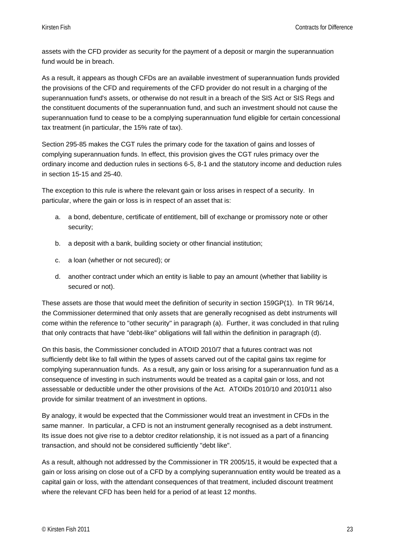assets with the CFD provider as security for the payment of a deposit or margin the superannuation fund would be in breach.

As a result, it appears as though CFDs are an available investment of superannuation funds provided the provisions of the CFD and requirements of the CFD provider do not result in a charging of the superannuation fund's assets, or otherwise do not result in a breach of the SIS Act or SIS Regs and the constituent documents of the superannuation fund, and such an investment should not cause the superannuation fund to cease to be a complying superannuation fund eligible for certain concessional tax treatment (in particular, the 15% rate of tax).

Section 295-85 makes the CGT rules the primary code for the taxation of gains and losses of complying superannuation funds. In effect, this provision gives the CGT rules primacy over the ordinary income and deduction rules in sections 6-5, 8-1 and the statutory income and deduction rules in section 15-15 and 25-40.

The exception to this rule is where the relevant gain or loss arises in respect of a security. In particular, where the gain or loss is in respect of an asset that is:

- a. a bond, debenture, certificate of entitlement, bill of exchange or promissory note or other security;
- b. a deposit with a bank, building society or other financial institution;
- c. a loan (whether or not secured); or
- d. another contract under which an entity is liable to pay an amount (whether that liability is secured or not).

These assets are those that would meet the definition of security in section 159GP(1). In TR 96/14, the Commissioner determined that only assets that are generally recognised as debt instruments will come within the reference to "other security" in paragraph (a). Further, it was concluded in that ruling that only contracts that have "debt-like" obligations will fall within the definition in paragraph (d).

On this basis, the Commissioner concluded in ATOID 2010/7 that a futures contract was not sufficiently debt like to fall within the types of assets carved out of the capital gains tax regime for complying superannuation funds. As a result, any gain or loss arising for a superannuation fund as a consequence of investing in such instruments would be treated as a capital gain or loss, and not assessable or deductible under the other provisions of the Act. ATOIDs 2010/10 and 2010/11 also provide for similar treatment of an investment in options.

By analogy, it would be expected that the Commissioner would treat an investment in CFDs in the same manner. In particular, a CFD is not an instrument generally recognised as a debt instrument. Its issue does not give rise to a debtor creditor relationship, it is not issued as a part of a financing transaction, and should not be considered sufficiently "debt like".

As a result, although not addressed by the Commissioner in TR 2005/15, it would be expected that a gain or loss arising on close out of a CFD by a complying superannuation entity would be treated as a capital gain or loss, with the attendant consequences of that treatment, included discount treatment where the relevant CFD has been held for a period of at least 12 months.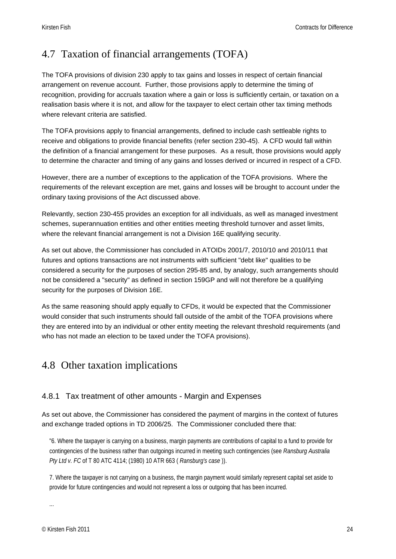### 4.7 Taxation of financial arrangements (TOFA)

The TOFA provisions of division 230 apply to tax gains and losses in respect of certain financial arrangement on revenue account. Further, those provisions apply to determine the timing of recognition, providing for accruals taxation where a gain or loss is sufficiently certain, or taxation on a realisation basis where it is not, and allow for the taxpayer to elect certain other tax timing methods where relevant criteria are satisfied.

The TOFA provisions apply to financial arrangements, defined to include cash settleable rights to receive and obligations to provide financial benefits (refer section 230-45). A CFD would fall within the definition of a financial arrangement for these purposes. As a result, those provisions would apply to determine the character and timing of any gains and losses derived or incurred in respect of a CFD.

However, there are a number of exceptions to the application of the TOFA provisions. Where the requirements of the relevant exception are met, gains and losses will be brought to account under the ordinary taxing provisions of the Act discussed above.

Relevantly, section 230-455 provides an exception for all individuals, as well as managed investment schemes, superannuation entities and other entities meeting threshold turnover and asset limits, where the relevant financial arrangement is not a Division 16E qualifying security.

As set out above, the Commissioner has concluded in ATOIDs 2001/7, 2010/10 and 2010/11 that futures and options transactions are not instruments with sufficient "debt like" qualities to be considered a security for the purposes of section 295-85 and, by analogy, such arrangements should not be considered a "security" as defined in section 159GP and will not therefore be a qualifying security for the purposes of Division 16E.

As the same reasoning should apply equally to CFDs, it would be expected that the Commissioner would consider that such instruments should fall outside of the ambit of the TOFA provisions where they are entered into by an individual or other entity meeting the relevant threshold requirements (and who has not made an election to be taxed under the TOFA provisions).

### 4.8 Other taxation implications

#### 4.8.1 Tax treatment of other amounts - Margin and Expenses

As set out above, the Commissioner has considered the payment of margins in the context of futures and exchange traded options in TD 2006/25. The Commissioner concluded there that:

"6. Where the taxpayer is carrying on a business, margin payments are contributions of capital to a fund to provide for contingencies of the business rather than outgoings incurred in meeting such contingencies (see *Ransburg Australia Pty Ltd v. FC* of T 80 ATC 4114; (1980) 10 ATR 663 ( *Ransburg's case* )).

7. Where the taxpayer is not carrying on a business, the margin payment would similarly represent capital set aside to provide for future contingencies and would not represent a loss or outgoing that has been incurred.

...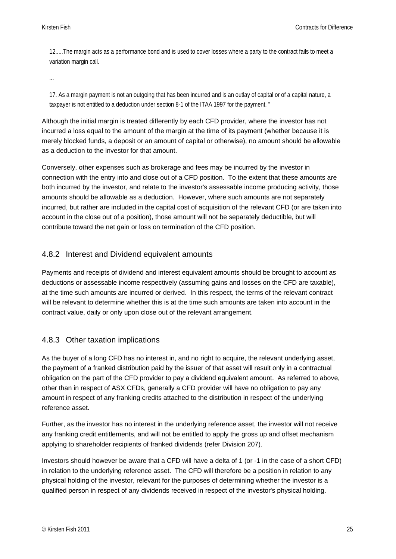12.....The margin acts as a performance bond and is used to cover losses where a party to the contract fails to meet a variation margin call.

17. As a margin payment is not an outgoing that has been incurred and is an outlay of capital or of a capital nature, a taxpayer is not entitled to a deduction under section 8-1 of the ITAA 1997 for the payment. "

Although the initial margin is treated differently by each CFD provider, where the investor has not incurred a loss equal to the amount of the margin at the time of its payment (whether because it is merely blocked funds, a deposit or an amount of capital or otherwise), no amount should be allowable as a deduction to the investor for that amount.

Conversely, other expenses such as brokerage and fees may be incurred by the investor in connection with the entry into and close out of a CFD position. To the extent that these amounts are both incurred by the investor, and relate to the investor's assessable income producing activity, those amounts should be allowable as a deduction. However, where such amounts are not separately incurred, but rather are included in the capital cost of acquisition of the relevant CFD (or are taken into account in the close out of a position), those amount will not be separately deductible, but will contribute toward the net gain or loss on termination of the CFD position.

#### 4.8.2 Interest and Dividend equivalent amounts

Payments and receipts of dividend and interest equivalent amounts should be brought to account as deductions or assessable income respectively (assuming gains and losses on the CFD are taxable), at the time such amounts are incurred or derived. In this respect, the terms of the relevant contract will be relevant to determine whether this is at the time such amounts are taken into account in the contract value, daily or only upon close out of the relevant arrangement.

#### 4.8.3 Other taxation implications

As the buyer of a long CFD has no interest in, and no right to acquire, the relevant underlying asset, the payment of a franked distribution paid by the issuer of that asset will result only in a contractual obligation on the part of the CFD provider to pay a dividend equivalent amount. As referred to above, other than in respect of ASX CFDs, generally a CFD provider will have no obligation to pay any amount in respect of any franking credits attached to the distribution in respect of the underlying reference asset.

Further, as the investor has no interest in the underlying reference asset, the investor will not receive any franking credit entitlements, and will not be entitled to apply the gross up and offset mechanism applying to shareholder recipients of franked dividends (refer Division 207).

Investors should however be aware that a CFD will have a delta of 1 (or -1 in the case of a short CFD) in relation to the underlying reference asset. The CFD will therefore be a position in relation to any physical holding of the investor, relevant for the purposes of determining whether the investor is a qualified person in respect of any dividends received in respect of the investor's physical holding.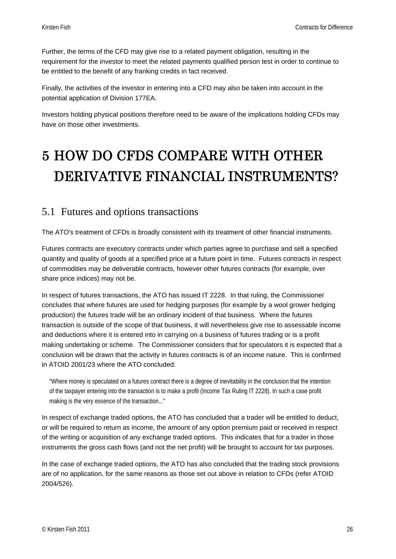Further, the terms of the CFD may give rise to a related payment obligation, resulting in the requirement for the investor to meet the related payments qualified person test in order to continue to be entitled to the benefit of any franking credits in fact received.

Finally, the activities of the investor in entering into a CFD may also be taken into account in the potential application of Division 177EA.

Investors holding physical positions therefore need to be aware of the implications holding CFDs may have on those other investments.

## 5 HOW DO CFDS COMPARE WITH OTHER DERIVATIVE FINANCIAL INSTRUMENTS?

### 5.1 Futures and options transactions

The ATO's treatment of CFDs is broadly consistent with its treatment of other financial instruments.

Futures contracts are executory contracts under which parties agree to purchase and sell a specified quantity and quality of goods at a specified price at a future point in time. Futures contracts in respect of commodities may be deliverable contracts, however other futures contracts (for example, over share price indices) may not be.

In respect of futures transactions, the ATO has issued IT 2228. In that ruling, the Commissioner concludes that where futures are used for hedging purposes (for example by a wool grower hedging production) the futures trade will be an ordinary incident of that business. Where the futures transaction is outside of the scope of that business, it will nevertheless give rise to assessable income and deductions where it is entered into in carrying on a business of futures trading or is a profit making undertaking or scheme. The Commissioner considers that for speculators it is expected that a conclusion will be drawn that the activity in futures contracts is of an income nature. This is confirmed in ATOID 2001/23 where the ATO concluded:

"Where money is speculated on a futures contract there is a degree of inevitability in the conclusion that the intention of the taxpayer entering into the transaction is to make a profit (Income Tax Ruling IT 2228). In such a case profit making is the very essence of the transaction..."

In respect of exchange traded options, the ATO has concluded that a trader will be entitled to deduct, or will be required to return as income, the amount of any option premium paid or received in respect of the writing or acquisition of any exchange traded options. This indicates that for a trader in those instruments the gross cash flows (and not the net profit) will be brought to account for tax purposes.

In the case of exchange traded options, the ATO has also concluded that the trading stock provisions are of no application, for the same reasons as those set out above in relation to CFDs (refer ATOID 2004/526).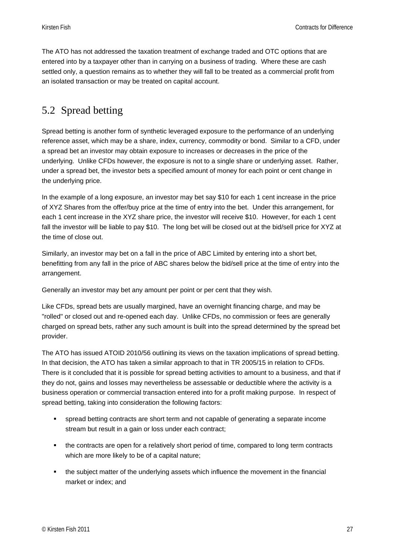The ATO has not addressed the taxation treatment of exchange traded and OTC options that are entered into by a taxpayer other than in carrying on a business of trading. Where these are cash settled only, a question remains as to whether they will fall to be treated as a commercial profit from an isolated transaction or may be treated on capital account.

### 5.2 Spread betting

Spread betting is another form of synthetic leveraged exposure to the performance of an underlying reference asset, which may be a share, index, currency, commodity or bond. Similar to a CFD, under a spread bet an investor may obtain exposure to increases or decreases in the price of the underlying. Unlike CFDs however, the exposure is not to a single share or underlying asset. Rather, under a spread bet, the investor bets a specified amount of money for each point or cent change in the underlying price.

In the example of a long exposure, an investor may bet say \$10 for each 1 cent increase in the price of XYZ Shares from the offer/buy price at the time of entry into the bet. Under this arrangement, for each 1 cent increase in the XYZ share price, the investor will receive \$10. However, for each 1 cent fall the investor will be liable to pay \$10. The long bet will be closed out at the bid/sell price for XYZ at the time of close out.

Similarly, an investor may bet on a fall in the price of ABC Limited by entering into a short bet, benefitting from any fall in the price of ABC shares below the bid/sell price at the time of entry into the arrangement.

Generally an investor may bet any amount per point or per cent that they wish.

Like CFDs, spread bets are usually margined, have an overnight financing charge, and may be "rolled" or closed out and re-opened each day. Unlike CFDs, no commission or fees are generally charged on spread bets, rather any such amount is built into the spread determined by the spread bet provider.

The ATO has issued ATOID 2010/56 outlining its views on the taxation implications of spread betting. In that decision, the ATO has taken a similar approach to that in TR 2005/15 in relation to CFDs. There is it concluded that it is possible for spread betting activities to amount to a business, and that if they do not, gains and losses may nevertheless be assessable or deductible where the activity is a business operation or commercial transaction entered into for a profit making purpose. In respect of spread betting, taking into consideration the following factors:

- spread betting contracts are short term and not capable of generating a separate income stream but result in a gain or loss under each contract;
- the contracts are open for a relatively short period of time, compared to long term contracts which are more likely to be of a capital nature;
- the subject matter of the underlying assets which influence the movement in the financial market or index; and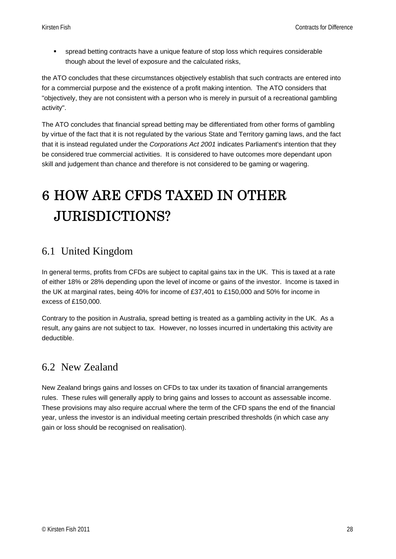spread betting contracts have a unique feature of stop loss which requires considerable though about the level of exposure and the calculated risks,

the ATO concludes that these circumstances objectively establish that such contracts are entered into for a commercial purpose and the existence of a profit making intention. The ATO considers that "objectively, they are not consistent with a person who is merely in pursuit of a recreational gambling activity".

The ATO concludes that financial spread betting may be differentiated from other forms of gambling by virtue of the fact that it is not regulated by the various State and Territory gaming laws, and the fact that it is instead regulated under the *Corporations Act 2001* indicates Parliament's intention that they be considered true commercial activities. It is considered to have outcomes more dependant upon skill and judgement than chance and therefore is not considered to be gaming or wagering.

# 6 HOW ARE CFDS TAXED IN OTHER JURISDICTIONS?

### 6.1 United Kingdom

In general terms, profits from CFDs are subject to capital gains tax in the UK. This is taxed at a rate of either 18% or 28% depending upon the level of income or gains of the investor. Income is taxed in the UK at marginal rates, being 40% for income of £37,401 to £150,000 and 50% for income in excess of £150,000.

Contrary to the position in Australia, spread betting is treated as a gambling activity in the UK. As a result, any gains are not subject to tax. However, no losses incurred in undertaking this activity are deductible.

### 6.2 New Zealand

New Zealand brings gains and losses on CFDs to tax under its taxation of financial arrangements rules. These rules will generally apply to bring gains and losses to account as assessable income. These provisions may also require accrual where the term of the CFD spans the end of the financial year, unless the investor is an individual meeting certain prescribed thresholds (in which case any gain or loss should be recognised on realisation).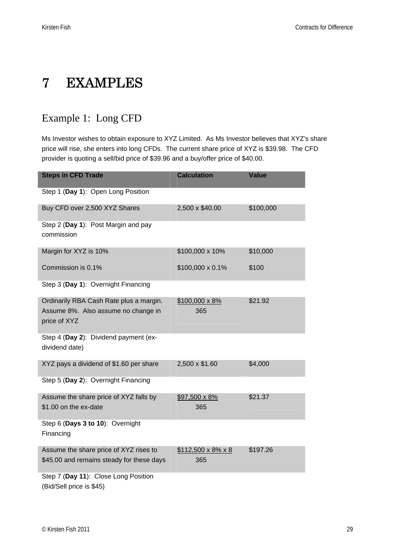## 7 EXAMPLES

## Example 1: Long CFD

Ms Investor wishes to obtain exposure to XYZ Limited. As Ms Investor believes that XYZ's share price will rise, she enters into long CFDs. The current share price of XYZ is \$39.98. The CFD provider is quoting a sell/bid price of \$39.96 and a buy/offer price of \$40.00.

| <b>Steps in CFD Trade</b>                                                                      | <b>Calculation</b>           | <b>Value</b> |
|------------------------------------------------------------------------------------------------|------------------------------|--------------|
| Step 1 (Day 1): Open Long Position                                                             |                              |              |
| Buy CFD over 2,500 XYZ Shares                                                                  | 2,500 x \$40.00              | \$100,000    |
| Step 2 (Day 1): Post Margin and pay<br>commission                                              |                              |              |
| Margin for XYZ is 10%                                                                          | \$100,000 x 10%              | \$10,000     |
| Commission is 0.1%                                                                             | \$100,000 x 0.1%             | \$100        |
| Step 3 (Day 1): Overnight Financing                                                            |                              |              |
| Ordinarily RBA Cash Rate plus a margin.<br>Assume 8%. Also assume no change in<br>price of XYZ | $$100,000 \times 8\%$<br>365 | \$21.92      |
| Step 4 (Day 2): Dividend payment (ex-<br>dividend date)                                        |                              |              |
| XYZ pays a dividend of \$1.60 per share                                                        | 2,500 x \$1.60               | \$4,000      |
| Step 5 (Day 2): Overnight Financing                                                            |                              |              |
| Assume the share price of XYZ falls by<br>\$1.00 on the ex-date                                | \$97,500 x 8%<br>365         | \$21.37      |
| Step 6 (Days 3 to 10): Overnight<br>Financing                                                  |                              |              |
| Assume the share price of XYZ rises to<br>\$45.00 and remains steady for these days            | \$112,500 x 8% x 8<br>365    | \$197.26     |
| Step 7 (Day 11): Close Long Position<br>(Bid/Sell price is \$45)                               |                              |              |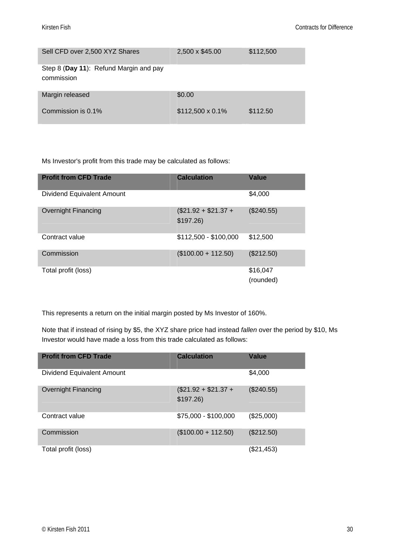| Sell CFD over 2,500 XYZ Shares                       | 2,500 x \$45.00         | \$112,500 |
|------------------------------------------------------|-------------------------|-----------|
| Step 8 (Day 11): Refund Margin and pay<br>commission |                         |           |
| Margin released                                      | \$0.00                  |           |
| Commission is 0.1%                                   | $$112,500 \times 0.1\%$ | \$112.50  |

Ms Investor's profit from this trade may be calculated as follows:

| <b>Profit from CFD Trade</b> | <b>Calculation</b>               | Value                 |
|------------------------------|----------------------------------|-----------------------|
| Dividend Equivalent Amount   |                                  | \$4,000               |
| <b>Overnight Financing</b>   | $($21.92 + $21.37 +$<br>\$197.26 | (\$240.55)            |
| Contract value               | $$112,500 - $100,000$            | \$12,500              |
| Commission                   | $($100.00 + 112.50)$             | (\$212.50)            |
| Total profit (loss)          |                                  | \$16,047<br>(rounded) |

This represents a return on the initial margin posted by Ms Investor of 160%.

Note that if instead of rising by \$5, the XYZ share price had instead *fallen* over the period by \$10, Ms Investor would have made a loss from this trade calculated as follows:

| <b>Profit from CFD Trade</b> | <b>Calculation</b>               | Value      |
|------------------------------|----------------------------------|------------|
| Dividend Equivalent Amount   |                                  | \$4,000    |
| <b>Overnight Financing</b>   | $($21.92 + $21.37 +$<br>\$197.26 | (\$240.55) |
| Contract value               | \$75,000 - \$100,000             | (\$25,000) |
| Commission                   | $($100.00 + 112.50)$             | (\$212.50) |
| Total profit (loss)          |                                  | (\$21,453) |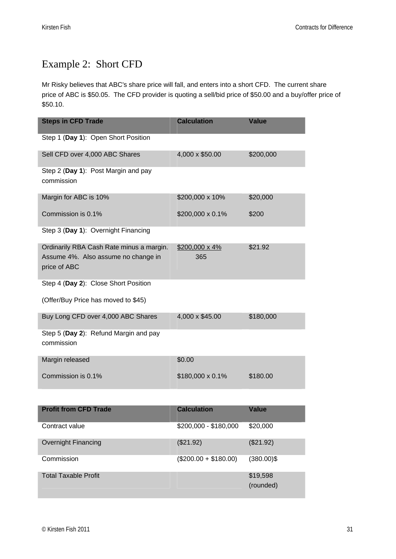## Example 2: Short CFD

Mr Risky believes that ABC's share price will fall, and enters into a short CFD. The current share price of ABC is \$50.05. The CFD provider is quoting a sell/bid price of \$50.00 and a buy/offer price of \$50.10.

| <b>Steps in CFD Trade</b>                                                                       | <b>Calculation</b>           | <b>Value</b> |
|-------------------------------------------------------------------------------------------------|------------------------------|--------------|
| Step 1 (Day 1): Open Short Position                                                             |                              |              |
| Sell CFD over 4,000 ABC Shares                                                                  | 4,000 x \$50.00              | \$200,000    |
| Step 2 (Day 1): Post Margin and pay<br>commission                                               |                              |              |
| Margin for ABC is 10%                                                                           | \$200,000 x 10%              | \$20,000     |
| Commission is 0.1%                                                                              | \$200,000 x 0.1%             | \$200        |
| Step 3 (Day 1): Overnight Financing                                                             |                              |              |
| Ordinarily RBA Cash Rate minus a margin.<br>Assume 4%. Also assume no change in<br>price of ABC | $$200,000 \times 4\%$<br>365 | \$21.92      |
| Step 4 (Day 2): Close Short Position                                                            |                              |              |
| (Offer/Buy Price has moved to \$45)                                                             |                              |              |
| Buy Long CFD over 4,000 ABC Shares                                                              | 4,000 x \$45.00              | \$180,000    |
| Step 5 (Day 2): Refund Margin and pay<br>commission                                             |                              |              |
| Margin released                                                                                 | \$0.00                       |              |
| Commission is 0.1%                                                                              | \$180,000 x 0.1%             | \$180.00     |
|                                                                                                 |                              |              |
| <b>Profit from CFD Trade</b>                                                                    | Calculation                  | <b>Value</b> |

| <b>Profit from CFD Trade</b> | <b>Calculation</b>    | <b>Value</b>          |
|------------------------------|-----------------------|-----------------------|
| Contract value               | \$200,000 - \$180,000 | \$20,000              |
| <b>Overnight Financing</b>   | (\$21.92)             | (\$21.92)             |
| Commission                   | $($200.00 + $180.00)$ | $(380.00)$ \$         |
| <b>Total Taxable Profit</b>  |                       | \$19,598<br>(rounded) |